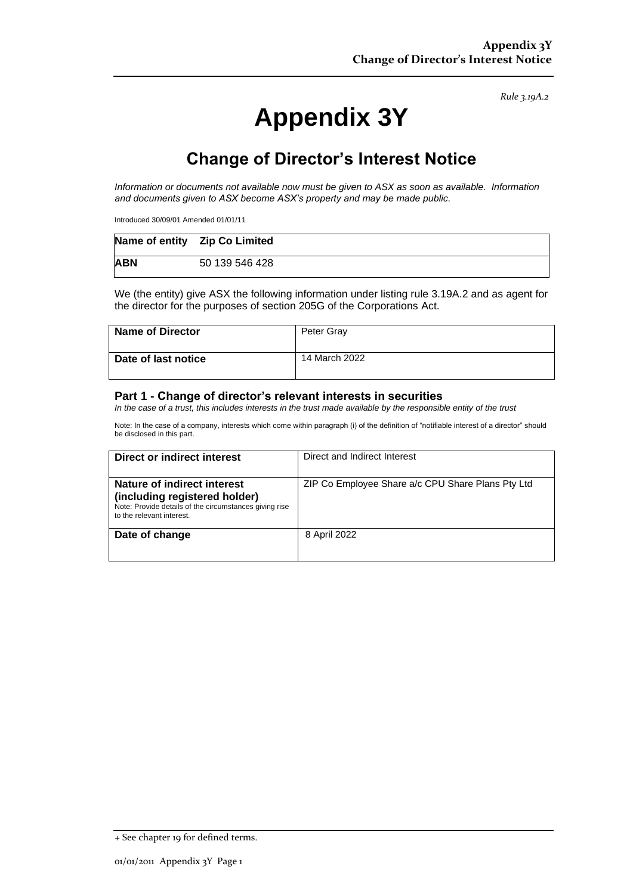*Rule 3.19A.2*

# **Appendix 3Y**

## **Change of Director's Interest Notice**

*Information or documents not available now must be given to ASX as soon as available. Information and documents given to ASX become ASX's property and may be made public.*

Introduced 30/09/01 Amended 01/01/11

|            | Name of entity    Zip Co Limited |  |
|------------|----------------------------------|--|
| <b>ABN</b> | 50 139 546 428                   |  |

We (the entity) give ASX the following information under listing rule 3.19A.2 and as agent for the director for the purposes of section 205G of the Corporations Act.

| <b>Name of Director</b> | Peter Gray    |
|-------------------------|---------------|
| Date of last notice     | 14 March 2022 |

#### **Part 1 - Change of director's relevant interests in securities**

*In the case of a trust, this includes interests in the trust made available by the responsible entity of the trust*

Note: In the case of a company, interests which come within paragraph (i) of the definition of "notifiable interest of a director" should be disclosed in this part.

| Direct or indirect interest                                                                                                                         | Direct and Indirect Interest                      |
|-----------------------------------------------------------------------------------------------------------------------------------------------------|---------------------------------------------------|
| Nature of indirect interest<br>(including registered holder)<br>Note: Provide details of the circumstances giving rise<br>to the relevant interest. | ZIP Co Employee Share a/c CPU Share Plans Pty Ltd |
| Date of change                                                                                                                                      | 8 April 2022                                      |

<sup>+</sup> See chapter 19 for defined terms.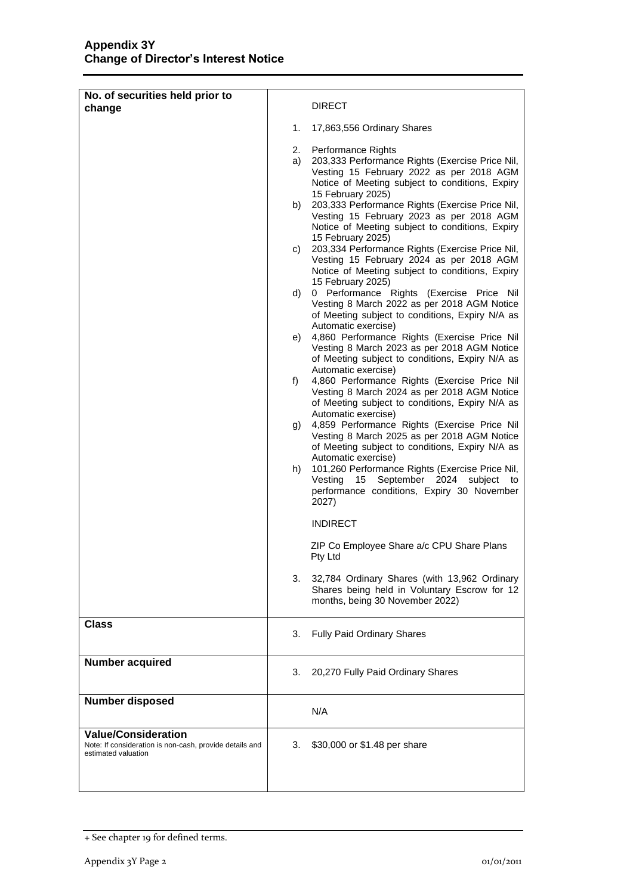| No. of securities held prior to                                                                              |                                              |                                                                                                                                                                                                                                                                                                                                                                                                                                                                                                                                                                                                                                                                                                                                                                                                                                                                                                                                                                                                                                                                                                                                                                                                                                                                                                                                                                                                    |
|--------------------------------------------------------------------------------------------------------------|----------------------------------------------|----------------------------------------------------------------------------------------------------------------------------------------------------------------------------------------------------------------------------------------------------------------------------------------------------------------------------------------------------------------------------------------------------------------------------------------------------------------------------------------------------------------------------------------------------------------------------------------------------------------------------------------------------------------------------------------------------------------------------------------------------------------------------------------------------------------------------------------------------------------------------------------------------------------------------------------------------------------------------------------------------------------------------------------------------------------------------------------------------------------------------------------------------------------------------------------------------------------------------------------------------------------------------------------------------------------------------------------------------------------------------------------------------|
| change                                                                                                       |                                              | <b>DIRECT</b>                                                                                                                                                                                                                                                                                                                                                                                                                                                                                                                                                                                                                                                                                                                                                                                                                                                                                                                                                                                                                                                                                                                                                                                                                                                                                                                                                                                      |
|                                                                                                              | 1.                                           | 17,863,556 Ordinary Shares                                                                                                                                                                                                                                                                                                                                                                                                                                                                                                                                                                                                                                                                                                                                                                                                                                                                                                                                                                                                                                                                                                                                                                                                                                                                                                                                                                         |
|                                                                                                              | a)<br>b)<br>C)<br>d)<br>e)<br>f)<br>g)<br>h) | 2. Performance Rights<br>203,333 Performance Rights (Exercise Price Nil,<br>Vesting 15 February 2022 as per 2018 AGM<br>Notice of Meeting subject to conditions, Expiry<br>15 February 2025)<br>203,333 Performance Rights (Exercise Price Nil,<br>Vesting 15 February 2023 as per 2018 AGM<br>Notice of Meeting subject to conditions, Expiry<br>15 February 2025)<br>203,334 Performance Rights (Exercise Price Nil,<br>Vesting 15 February 2024 as per 2018 AGM<br>Notice of Meeting subject to conditions, Expiry<br>15 February 2025)<br>0 Performance Rights (Exercise Price Nil<br>Vesting 8 March 2022 as per 2018 AGM Notice<br>of Meeting subject to conditions, Expiry N/A as<br>Automatic exercise)<br>4,860 Performance Rights (Exercise Price Nil<br>Vesting 8 March 2023 as per 2018 AGM Notice<br>of Meeting subject to conditions, Expiry N/A as<br>Automatic exercise)<br>4,860 Performance Rights (Exercise Price Nil<br>Vesting 8 March 2024 as per 2018 AGM Notice<br>of Meeting subject to conditions, Expiry N/A as<br>Automatic exercise)<br>4,859 Performance Rights (Exercise Price Nil<br>Vesting 8 March 2025 as per 2018 AGM Notice<br>of Meeting subject to conditions, Expiry N/A as<br>Automatic exercise)<br>101,260 Performance Rights (Exercise Price Nil,<br>Vesting<br>15<br>September 2024 subject to<br>performance conditions, Expiry 30 November<br>2027) |
|                                                                                                              |                                              | <b>INDIRECT</b>                                                                                                                                                                                                                                                                                                                                                                                                                                                                                                                                                                                                                                                                                                                                                                                                                                                                                                                                                                                                                                                                                                                                                                                                                                                                                                                                                                                    |
|                                                                                                              |                                              | ZIP Co Employee Share a/c CPU Share Plans<br>Pty Ltd                                                                                                                                                                                                                                                                                                                                                                                                                                                                                                                                                                                                                                                                                                                                                                                                                                                                                                                                                                                                                                                                                                                                                                                                                                                                                                                                               |
|                                                                                                              | 3.                                           | 32,784 Ordinary Shares (with 13,962 Ordinary<br>Shares being held in Voluntary Escrow for 12<br>months, being 30 November 2022)                                                                                                                                                                                                                                                                                                                                                                                                                                                                                                                                                                                                                                                                                                                                                                                                                                                                                                                                                                                                                                                                                                                                                                                                                                                                    |
| <b>Class</b>                                                                                                 | 3.                                           | <b>Fully Paid Ordinary Shares</b>                                                                                                                                                                                                                                                                                                                                                                                                                                                                                                                                                                                                                                                                                                                                                                                                                                                                                                                                                                                                                                                                                                                                                                                                                                                                                                                                                                  |
| <b>Number acquired</b>                                                                                       | 3.                                           | 20,270 Fully Paid Ordinary Shares                                                                                                                                                                                                                                                                                                                                                                                                                                                                                                                                                                                                                                                                                                                                                                                                                                                                                                                                                                                                                                                                                                                                                                                                                                                                                                                                                                  |
| <b>Number disposed</b>                                                                                       |                                              | N/A                                                                                                                                                                                                                                                                                                                                                                                                                                                                                                                                                                                                                                                                                                                                                                                                                                                                                                                                                                                                                                                                                                                                                                                                                                                                                                                                                                                                |
| <b>Value/Consideration</b><br>Note: If consideration is non-cash, provide details and<br>estimated valuation | 3.                                           | \$30,000 or \$1.48 per share                                                                                                                                                                                                                                                                                                                                                                                                                                                                                                                                                                                                                                                                                                                                                                                                                                                                                                                                                                                                                                                                                                                                                                                                                                                                                                                                                                       |

<sup>+</sup> See chapter 19 for defined terms.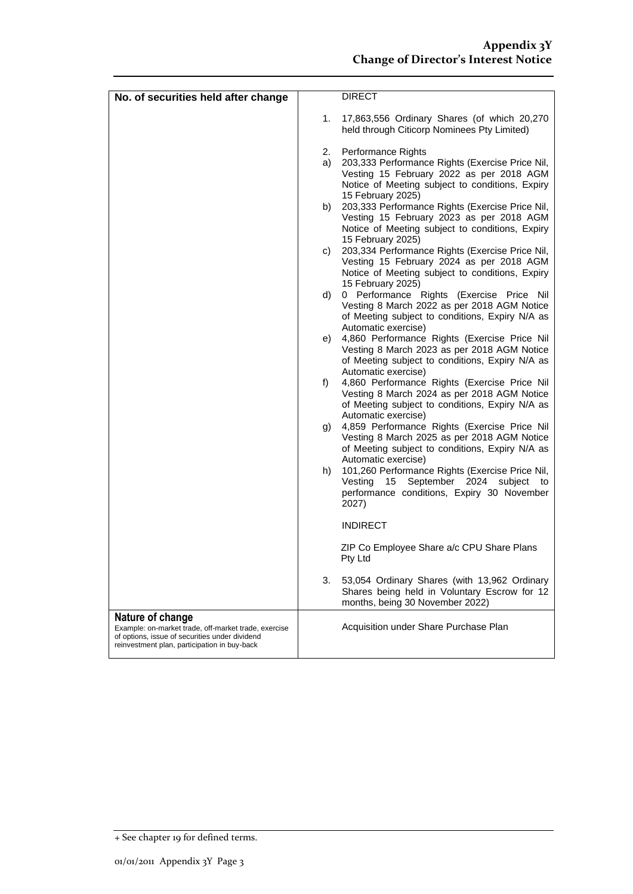| No. of securities held after change                                                                                                                                        |    | <b>DIRECT</b>                                                                                                                                                                                  |
|----------------------------------------------------------------------------------------------------------------------------------------------------------------------------|----|------------------------------------------------------------------------------------------------------------------------------------------------------------------------------------------------|
|                                                                                                                                                                            |    |                                                                                                                                                                                                |
|                                                                                                                                                                            | 1. | 17,863,556 Ordinary Shares (of which 20,270<br>held through Citicorp Nominees Pty Limited)                                                                                                     |
|                                                                                                                                                                            | 2. | Performance Rights                                                                                                                                                                             |
|                                                                                                                                                                            | a) | 203,333 Performance Rights (Exercise Price Nil,<br>Vesting 15 February 2022 as per 2018 AGM<br>Notice of Meeting subject to conditions, Expiry                                                 |
|                                                                                                                                                                            | b) | 15 February 2025)<br>203,333 Performance Rights (Exercise Price Nil,<br>Vesting 15 February 2023 as per 2018 AGM<br>Notice of Meeting subject to conditions, Expiry                            |
|                                                                                                                                                                            | C) | 15 February 2025)<br>203,334 Performance Rights (Exercise Price Nil,<br>Vesting 15 February 2024 as per 2018 AGM<br>Notice of Meeting subject to conditions, Expiry                            |
|                                                                                                                                                                            | d) | 15 February 2025)<br>0 Performance Rights (Exercise Price Nil                                                                                                                                  |
|                                                                                                                                                                            |    | Vesting 8 March 2022 as per 2018 AGM Notice<br>of Meeting subject to conditions, Expiry N/A as<br>Automatic exercise)                                                                          |
|                                                                                                                                                                            | e) | 4,860 Performance Rights (Exercise Price Nil<br>Vesting 8 March 2023 as per 2018 AGM Notice<br>of Meeting subject to conditions, Expiry N/A as                                                 |
|                                                                                                                                                                            | f) | Automatic exercise)<br>4,860 Performance Rights (Exercise Price Nil<br>Vesting 8 March 2024 as per 2018 AGM Notice<br>of Meeting subject to conditions, Expiry N/A as                          |
|                                                                                                                                                                            | g) | Automatic exercise)<br>4,859 Performance Rights (Exercise Price Nil<br>Vesting 8 March 2025 as per 2018 AGM Notice<br>of Meeting subject to conditions, Expiry N/A as                          |
|                                                                                                                                                                            | h) | Automatic exercise)<br>101,260 Performance Rights (Exercise Price Nil,<br>Vesting<br>15 <sub>1</sub><br>September 2024<br>subject<br>to<br>performance conditions, Expiry 30 November<br>2027) |
|                                                                                                                                                                            |    | <b>INDIRECT</b>                                                                                                                                                                                |
|                                                                                                                                                                            |    | ZIP Co Employee Share a/c CPU Share Plans<br>Pty Ltd                                                                                                                                           |
|                                                                                                                                                                            | 3. | 53,054 Ordinary Shares (with 13,962 Ordinary<br>Shares being held in Voluntary Escrow for 12<br>months, being 30 November 2022)                                                                |
| Nature of change<br>Example: on-market trade, off-market trade, exercise<br>of options, issue of securities under dividend<br>reinvestment plan, participation in buy-back |    | Acquisition under Share Purchase Plan                                                                                                                                                          |

<sup>+</sup> See chapter 19 for defined terms.